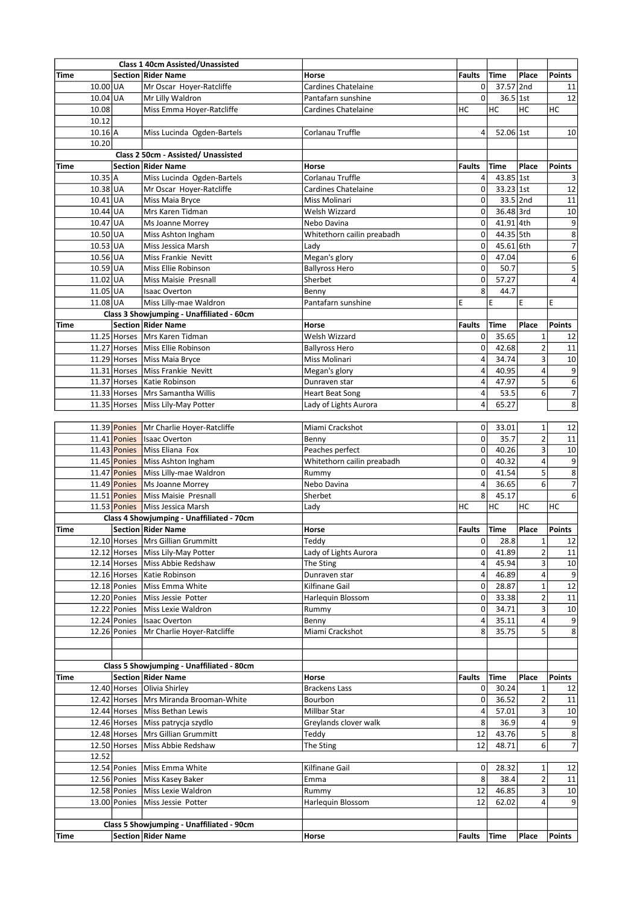|       |                      | Class 1 40cm Assisted/Unassisted          |                                        |                |             |                |                         |
|-------|----------------------|-------------------------------------------|----------------------------------------|----------------|-------------|----------------|-------------------------|
| Time  |                      | Section Rider Name                        | Horse                                  | <b>Faults</b>  | <b>Time</b> | Place          | <b>Points</b>           |
|       | $10.00$ UA           | Mr Oscar Hoyer-Ratcliffe                  | Cardines Chatelaine                    | 0              | 37.57 2nd   |                | 11                      |
|       | 10.04 UA             | Mr Lilly Waldron                          | Pantafarn sunshine                     | 0              | 36.5 1st    |                | 12                      |
| 10.08 |                      | Miss Emma Hoyer-Ratcliffe                 | Cardines Chatelaine                    | НC             | HC          | НC             | НC                      |
| 10.12 |                      |                                           |                                        |                |             |                |                         |
|       | $10.16$ <sup>A</sup> | Miss Lucinda Ogden-Bartels                | Corlanau Truffle                       | 4              | 52.06 1st   |                | 10                      |
| 10.20 |                      |                                           |                                        |                |             |                |                         |
|       |                      | Class 2 50cm - Assisted/ Unassisted       |                                        |                |             |                |                         |
| Time  |                      | $ $ Section $ $ Rider Name                | Horse                                  | <b>Faults</b>  | Time        | Place          | Points                  |
|       | 10.35 A              | Miss Lucinda Ogden-Bartels                | Corlanau Truffle                       | 4              | $43.85$ 1st |                | 3                       |
|       | $10.38$ UA           | Mr Oscar Hoyer-Ratcliffe                  | Cardines Chatelaine                    | 0              | $33.23$ 1st |                | 12                      |
|       | $10.41$ UA           | Miss Maia Bryce                           | Miss Molinari                          | 0              | $33.5$ 2nd  |                | $11\,$                  |
|       | $10.44$ UA           | Mrs Karen Tidman                          | Welsh Wizzard                          | 0              | $36.48$ 3rd |                | 10                      |
|       | $10.47$ UA           | Ms Joanne Morrey                          | Nebo Davina                            | 0              | 41.91 4th   |                | $\overline{9}$          |
|       | $10.50$ UA           | Miss Ashton Ingham                        | Whitethorn cailin preabadh             | 0              | 44.35 5th   |                | $\overline{8}$          |
|       | $10.53$ UA           | Miss Jessica Marsh                        | Lady                                   | 0              | 45.61 6th   |                | $\overline{7}$          |
|       | $10.56$ UA           | Miss Frankie Nevitt                       | Megan's glory                          | 0              | 47.04       |                | $\overline{6}$          |
|       | $10.59$ UA           | Miss Ellie Robinson                       | <b>Ballyross Hero</b>                  | 0              | 50.7        |                | $\overline{\mathbf{5}}$ |
|       | $11.02$ UA           | Miss Maisie Presnall                      | Sherbet                                | 0              | 57.27       |                | $\overline{4}$          |
|       | $11.05$ UA           | <b>Isaac Overton</b>                      | Benny                                  | 8              | 44.7        |                |                         |
|       | 11.08 UA             | Miss Lilly-mae Waldron                    | Pantafarn sunshine                     | E              | E           | E              | E                       |
|       |                      | Class 3 Showjumping - Unaffiliated - 60cm |                                        |                |             |                |                         |
| Time  |                      | Section Rider Name                        | Horse                                  | <b>Faults</b>  | Time        | Place          | <b>Points</b>           |
|       |                      | 11.25 Horses   Mrs Karen Tidman           | Welsh Wizzard                          | 0              | 35.65       | $\mathbf 1$    | 12                      |
|       |                      | 11.27 Horses Miss Ellie Robinson          |                                        | 0              | 42.68       | $\overline{2}$ |                         |
|       |                      | 11.29 Horses   Miss Maia Bryce            | <b>Ballyross Hero</b><br>Miss Molinari | 4              | 34.74       | 3              | 11                      |
|       |                      |                                           |                                        |                |             | 4              | 10                      |
|       |                      | 11.31 Horses   Miss Frankie Nevitt        | Megan's glory                          | 4              | 40.95       |                | 9                       |
|       |                      | 11.37 Horses   Katie Robinson             | Dunraven star                          | 4              | 47.97       | 5              | $\sqrt{6}$              |
|       |                      | 11.33 Horses   Mrs Samantha Willis        | <b>Heart Beat Song</b>                 | 4              | 53.5        | 6              | $\overline{7}$          |
|       |                      | 11.35 Horses   Miss Lily-May Potter       | Lady of Lights Aurora                  | 4              | 65.27       |                | 8                       |
|       |                      |                                           |                                        |                |             |                |                         |
|       |                      | 11.39 Ponies   Mr Charlie Hoyer-Ratcliffe | Miami Crackshot                        | 0              | 33.01       | $\mathbf 1$    | 12                      |
|       |                      | 11.41 Ponies Isaac Overton                | Benny                                  | 0              | 35.7        | $\overline{2}$ | $11\,$                  |
|       |                      | 11.43 Ponies Miss Eliana Fox              | Peaches perfect                        | 0              | 40.26       | 3              | 10                      |
|       |                      | 11.45 Ponies   Miss Ashton Ingham         | Whitethorn cailin preabadh             | 0              | 40.32       | 4              | $\overline{9}$          |
|       |                      | 11.47 Ponies Miss Lilly-mae Waldron       | Rummy                                  | 0              | 41.54       | 5              | $\overline{8}$          |
|       |                      | 11.49 Ponies Ms Joanne Morrey             | Nebo Davina                            | 4              | 36.65       | 6              | $\overline{7}$          |
|       |                      | 11.51 Ponies Miss Maisie Presnall         | Sherbet                                | 8              | 45.17       |                | $\overline{6}$          |
|       |                      | 11.53 Ponies Miss Jessica Marsh           | Lady                                   | НC             | HC          | HC             | НC                      |
|       |                      | Class 4 Showjumping - Unaffiliated - 70cm |                                        |                |             |                |                         |
| Time  |                      | <b>Section Rider Name</b>                 | Horse                                  | Faults         | <b>Time</b> | Place          | <b>Points</b>           |
|       |                      | 12.10 Horses Mrs Gillian Grummitt         | Teddy                                  | 0              | 28.8        | $\mathbf{1}$   | 12                      |
|       |                      | 12.12 Horses Miss Lily-May Potter         | Lady of Lights Aurora                  | 0              | 41.89       | $\overline{2}$ | $11\,$                  |
|       |                      | 12.14 Horses Miss Abbie Redshaw           | The Sting                              | 4              | 45.94       | 3              | $10\,$                  |
|       |                      | 12.16 Horses   Katie Robinson             | Dunraven star                          | 4              | 46.89       | 4              | 9                       |
|       |                      | 12.18 Ponies Miss Emma White              | Kilfinane Gail                         | $\overline{0}$ | 28.87       | $\mathbf 1$    | 12                      |
|       |                      | 12.20 Ponies   Miss Jessie Potter         | Harlequin Blossom                      | 0              | 33.38       | $\overline{2}$ | 11                      |
|       |                      | 12.22 Ponies Miss Lexie Waldron           | Rummy                                  | 0              | 34.71       | 3              | 10                      |
|       |                      | 12.24 Ponies   Isaac Overton              | Benny                                  | 4              | 35.11       | 4              | 9                       |
|       |                      | 12.26 Ponies   Mr Charlie Hoyer-Ratcliffe | Miami Crackshot                        | 8              | 35.75       | 5              | 8                       |
|       |                      |                                           |                                        |                |             |                |                         |
|       |                      |                                           |                                        |                |             |                |                         |
|       |                      | Class 5 Showjumping - Unaffiliated - 80cm |                                        |                |             |                |                         |
| Time  |                      | Section Rider Name                        | Horse                                  | Faults         | Time        | Place          | Points                  |
|       |                      | 12.40 Horses Olivia Shirley               | Brackens Lass                          | 0              | 30.24       | $\mathbf 1$    | 12                      |
|       |                      | 12.42 Horses   Mrs Miranda Brooman-White  | Bourbon                                | 0              | 36.52       | $\overline{2}$ | 11                      |
|       |                      | 12.44 Horses Miss Bethan Lewis            | Millbar Star                           | 4              | 57.01       | 3              | 10                      |
|       |                      | 12.46 Horses   Miss patrycja szydlo       | Greylands clover walk                  | 8              | 36.9        | 4              | 9                       |
|       |                      | 12.48 Horses   Mrs Gillian Grummitt       | Teddy                                  | 12             | 43.76       | 5              | $\overline{\bf 8}$      |
|       |                      | 12.50 Horses Miss Abbie Redshaw           | The Sting                              | 12             | 48.71       | 6              | $\overline{7}$          |
| 12.52 |                      |                                           |                                        |                |             |                |                         |
|       |                      | 12.54 Ponies   Miss Emma White            | Kilfinane Gail                         | 0              | 28.32       | 1              | 12                      |
|       |                      | 12.56 Ponies   Miss Kasey Baker           | Emma                                   | 8              | 38.4        | $\overline{2}$ | $11\,$                  |
|       |                      | 12.58 Ponies   Miss Lexie Waldron         | Rummy                                  | 12             | 46.85       | 3              | 10                      |
|       |                      | 13.00 Ponies   Miss Jessie Potter         | Harlequin Blossom                      | 12             | 62.02       | 4              | 9                       |
|       |                      |                                           |                                        |                |             |                |                         |
|       |                      | Class 5 Showjumping - Unaffiliated - 90cm |                                        |                |             |                |                         |
| Time  |                      | Section   Rider Name                      | Horse                                  | <b>Faults</b>  | Time        | Place          | <b>Points</b>           |
|       |                      |                                           |                                        |                |             |                |                         |